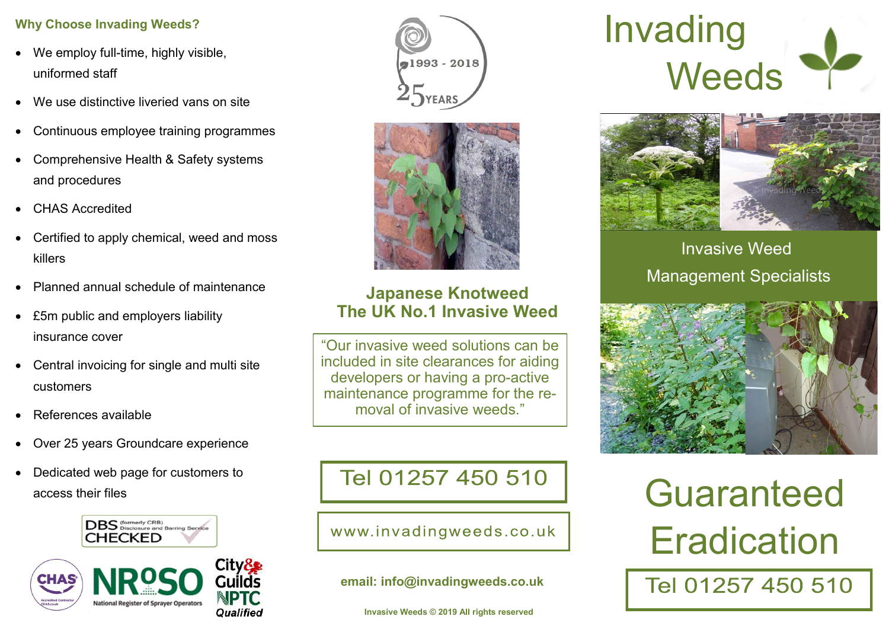# **Why Choose Invading Weeds?**

- We employ full-time, highly visible, uniformed staff
- We use distinctive liveried vans on site
- Continuous employee training programmes
- Comprehensive Health & Safety systems and procedures
- CHAS Accredited
- Certified to apply chemical, weed and moss killers
- Planned annual schedule of maintenance
- £5m public and employers liability insurance cover
- Central invoicing for single and multi site customers
- References available
- Over 25 years Groundcare experience
- Dedicated web page for customers to access their files





al993 - 2018



# **Japanese Knotweed The UK No.1 Invasive Weed**

"Our invasive weed solutions can be included in site clearances for aiding developers or having a pro-active maintenance programme for the removal of invasive weeds."

# Tel 01257 450 510

# www.invadingweeds.co.uk

**email: info@invadingweeds.co.uk**

**Invasive Weeds © 2019 All rights reserved**





Invasive Weed Management Specialists



# Guaranteed **Eradication**

# Tel 01257 450 510